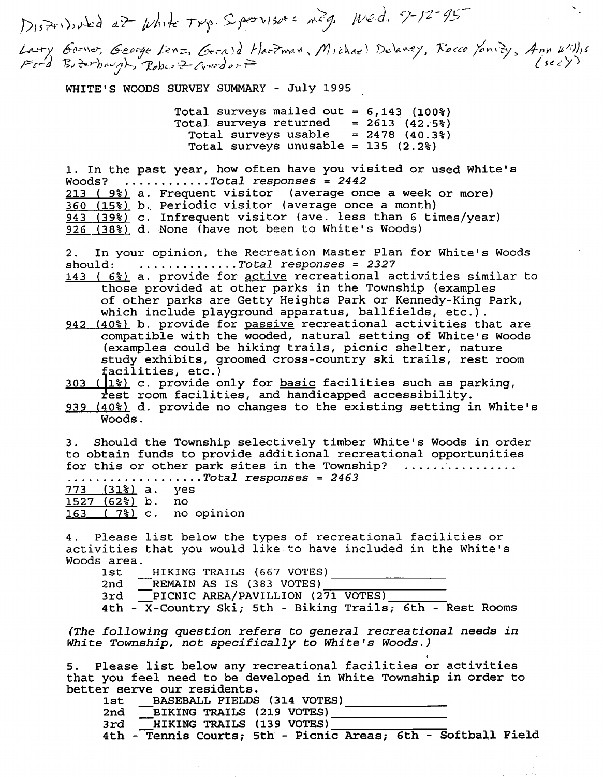Distributed at White Try. Sepervisors meg. Wed. 7-12-95  $\Sigma_{\rm s}$ Larry Gorner, George Lenz, Gerald Hartman, Michael Delaney, Rocco Yanity, Ann Willis<br>Ford Buterbaugh, Robert Creedort WHITE'S WOODS SURVEY SUMMARY - July 1995 Total surveys mailed out =  $6,143$  (100%) Total surveys returned =  $2613$  (42.5%) Total surveys usable =  $2478$  (40.3%) Total surveys unusable =  $135$  (2.2%) 1. In the past year, how often have you visited or used White's Woods? Total responses 2442 213 ( 9%) a. Frequent visitor (average once a week or more) 360 (15%) b.. Periodic visitor (average once month) 943 (39%) c. Infrequent visitor (ave. less than 6 times/year) 926 (38%) d. None (have not been to White's Woods) 2. In your opinion, the Recreation Master Plan for White's Woods  $should: \dots \dots \dots \dots \dots \dots \text{Total responses = } 2327$ 143 (6%) a. provide for active recreational activities similar to those provided at other parks in the Township (examples of other parks are Getty Heights Park or Kennedy-King Park, which include playground apparatus, ballfields, etc.). 942 (40%) b. provide for passive recreational activities that are compatible with the wooded, natural setting of White's Woods (examples could be hiking trails, picnic shelter, nature study exhibits, groomed cross-country ski trails, rest room 5acilities, etc.)  $1303$  ( $1\%)$  c. provide only for basic facilities such as parking, fest room facilities, and handicapped accessibility. 939 (40%) d. provide no changes to the existing setting in White's Woods. 3. Should the Township selectively timber White's Woods in order to obtain funds to provide additional recreational opportunities for this or other park sites in the Township? Total responses 2463 773 (31%) a. yes 1527 (62%) b. no 163 ( 7%) c. no opinion 4. Please list below the types of recreational facilities or activities that you would like to have included in the White's Woods area. 1st HIKING TRAILS (667 VOTES) 2nd REMAIN AS IS (3 83 VOTES) 3rd PICNIC AREA/PAVILLION (271 VOTES) 4th - X-Country Ski; 5th - Biking Trails; 6th - Rest Rooms (The following question refers to general recreational needs in White Township, not specifically to White's Woods.) 5. Please list below any recreational facilities or activities that you feel need to be developed in White Township in order to better serve our residents. 1st \_\_BASEBALL FIELDS (314 VOTES)\_\_ 2nd BIKING TRAILS (219 VOTES)

> 3rd HIKING TRAILS (139 VOTES) 4th - Tennis Courts; 5th - Picnic Areas; 6th - Softball Field

> > $\sim$   $\sim$